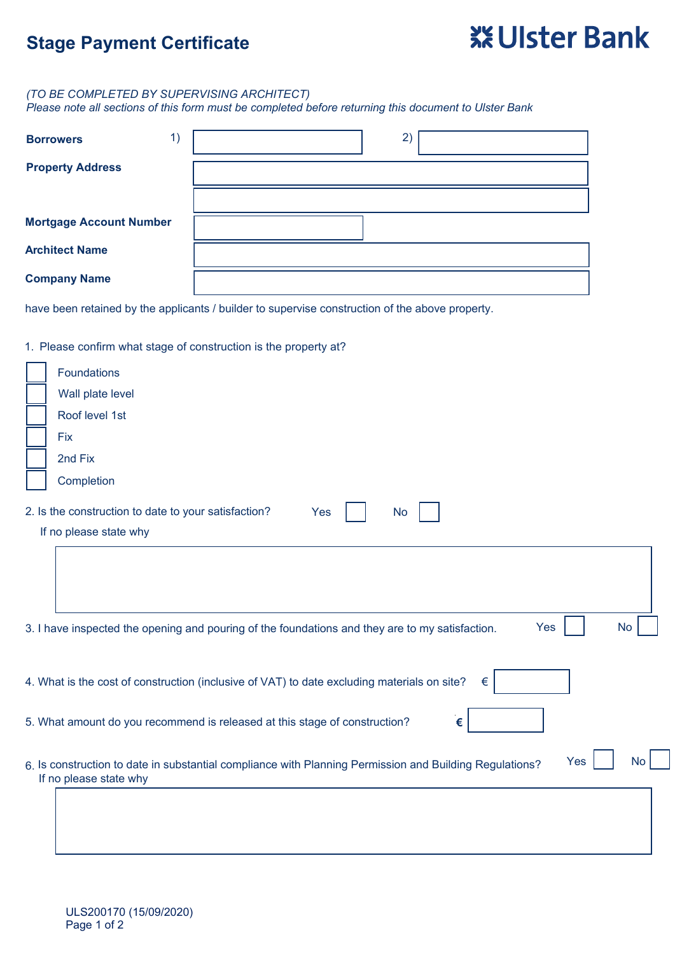## **Stage Payment Certificate**

# **※Ulster Bank**

#### *(TO BE COMPLETED BY SUPERVISING ARCHITECT)*

*Please note all sections of this form must be completed before returning this document to Ulster Bank*

| 1)<br><b>Borrowers</b>         | 2) |
|--------------------------------|----|
| <b>Property Address</b>        |    |
|                                |    |
| <b>Mortgage Account Number</b> |    |
| <b>Architect Name</b>          |    |
| <b>Company Name</b>            |    |

have been retained by the applicants / builder to supervise construction of the above property.

#### 1. Please confirm what stage of construction is the property at?

| Foundations                                                                                                                |
|----------------------------------------------------------------------------------------------------------------------------|
| Wall plate level                                                                                                           |
| Roof level 1st                                                                                                             |
| <b>Fix</b>                                                                                                                 |
| 2nd Fix                                                                                                                    |
| Completion                                                                                                                 |
| 2. Is the construction to date to your satisfaction?<br>Yes<br><b>No</b>                                                   |
| If no please state why                                                                                                     |
|                                                                                                                            |
|                                                                                                                            |
|                                                                                                                            |
| <b>No</b><br>Yes<br>3. I have inspected the opening and pouring of the foundations and they are to my satisfaction.        |
| 4. What is the cost of construction (inclusive of VAT) to date excluding materials on site?<br>€                           |
| 5. What amount do you recommend is released at this stage of construction?<br>€                                            |
| Yes<br><b>No</b><br>6 Is construction to date in substantial compliance with Planning Permission and Building Regulations? |

6. Is construction to date in substantial compliance with Planning Permission and Building Regulations? If no please state why